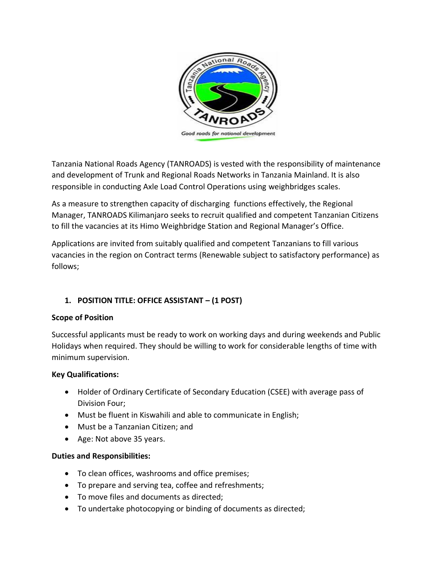

Tanzania National Roads Agency (TANROADS) is vested with the responsibility of maintenance and development of Trunk and Regional Roads Networks in Tanzania Mainland. It is also responsible in conducting Axle Load Control Operations using weighbridges scales.

As a measure to strengthen capacity of discharging functions effectively, the Regional Manager, TANROADS Kilimanjaro seeks to recruit qualified and competent Tanzanian Citizens to fill the vacancies at its Himo Weighbridge Station and Regional Manager's Office.

Applications are invited from suitably qualified and competent Tanzanians to fill various vacancies in the region on Contract terms (Renewable subject to satisfactory performance) as follows;

# **1. POSITION TITLE: OFFICE ASSISTANT – (1 POST)**

## **Scope of Position**

Successful applicants must be ready to work on working days and during weekends and Public Holidays when required. They should be willing to work for considerable lengths of time with minimum supervision.

## **Key Qualifications:**

- Holder of Ordinary Certificate of Secondary Education (CSEE) with average pass of Division Four;
- Must be fluent in Kiswahili and able to communicate in English;
- Must be a Tanzanian Citizen; and
- Age: Not above 35 years.

## **Duties and Responsibilities:**

- To clean offices, washrooms and office premises;
- To prepare and serving tea, coffee and refreshments;
- To move files and documents as directed;
- To undertake photocopying or binding of documents as directed;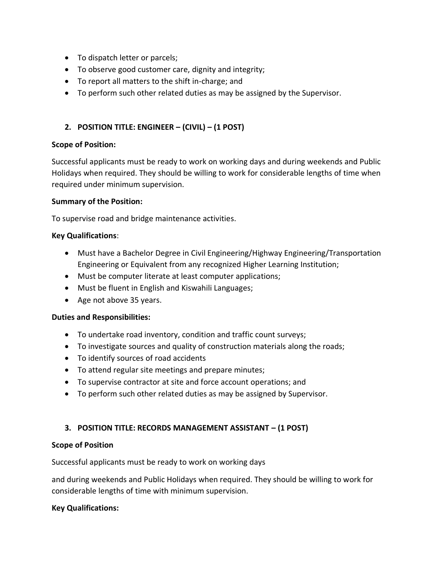- To dispatch letter or parcels;
- To observe good customer care, dignity and integrity;
- To report all matters to the shift in-charge; and
- To perform such other related duties as may be assigned by the Supervisor.

## **2. POSITION TITLE: ENGINEER – (CIVIL) – (1 POST)**

#### **Scope of Position:**

Successful applicants must be ready to work on working days and during weekends and Public Holidays when required. They should be willing to work for considerable lengths of time when required under minimum supervision.

#### **Summary of the Position:**

To supervise road and bridge maintenance activities.

#### **Key Qualifications**:

- Must have a Bachelor Degree in Civil Engineering/Highway Engineering/Transportation Engineering or Equivalent from any recognized Higher Learning Institution;
- Must be computer literate at least computer applications;
- Must be fluent in English and Kiswahili Languages;
- Age not above 35 years.

#### **Duties and Responsibilities:**

- To undertake road inventory, condition and traffic count surveys;
- To investigate sources and quality of construction materials along the roads;
- To identify sources of road accidents
- To attend regular site meetings and prepare minutes;
- To supervise contractor at site and force account operations; and
- To perform such other related duties as may be assigned by Supervisor.

## **3. POSITION TITLE: RECORDS MANAGEMENT ASSISTANT – (1 POST)**

#### **Scope of Position**

Successful applicants must be ready to work on working days

and during weekends and Public Holidays when required. They should be willing to work for considerable lengths of time with minimum supervision.

#### **Key Qualifications:**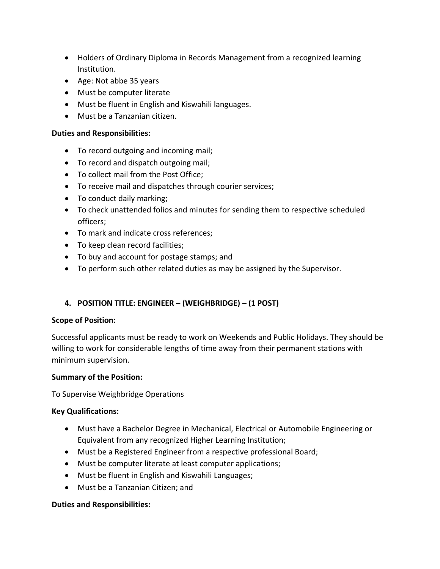- Holders of Ordinary Diploma in Records Management from a recognized learning Institution.
- Age: Not abbe 35 years
- Must be computer literate
- Must be fluent in English and Kiswahili languages.
- Must be a Tanzanian citizen.

#### **Duties and Responsibilities:**

- To record outgoing and incoming mail;
- To record and dispatch outgoing mail;
- To collect mail from the Post Office;
- To receive mail and dispatches through courier services;
- To conduct daily marking;
- To check unattended folios and minutes for sending them to respective scheduled officers;
- To mark and indicate cross references;
- To keep clean record facilities;
- To buy and account for postage stamps; and
- To perform such other related duties as may be assigned by the Supervisor.

## **4. POSITION TITLE: ENGINEER – (WEIGHBRIDGE) – (1 POST)**

#### **Scope of Position:**

Successful applicants must be ready to work on Weekends and Public Holidays. They should be willing to work for considerable lengths of time away from their permanent stations with minimum supervision.

## **Summary of the Position:**

To Supervise Weighbridge Operations

#### **Key Qualifications:**

- Must have a Bachelor Degree in Mechanical, Electrical or Automobile Engineering or Equivalent from any recognized Higher Learning Institution;
- Must be a Registered Engineer from a respective professional Board;
- Must be computer literate at least computer applications;
- Must be fluent in English and Kiswahili Languages;
- Must be a Tanzanian Citizen; and

#### **Duties and Responsibilities:**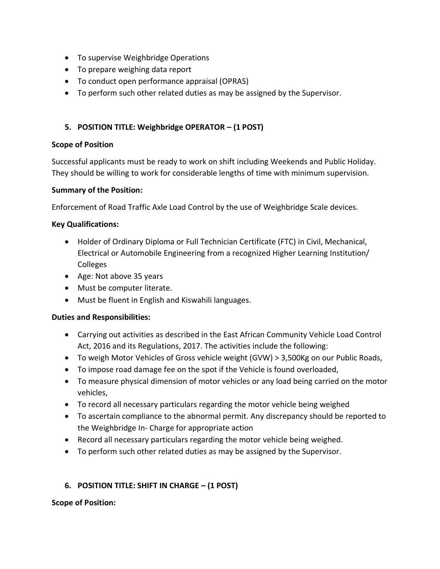- To supervise Weighbridge Operations
- To prepare weighing data report
- To conduct open performance appraisal (OPRAS)
- To perform such other related duties as may be assigned by the Supervisor.

## **5. POSITION TITLE: Weighbridge OPERATOR – (1 POST)**

#### **Scope of Position**

Successful applicants must be ready to work on shift including Weekends and Public Holiday. They should be willing to work for considerable lengths of time with minimum supervision.

#### **Summary of the Position:**

Enforcement of Road Traffic Axle Load Control by the use of Weighbridge Scale devices.

## **Key Qualifications:**

- Holder of Ordinary Diploma or Full Technician Certificate (FTC) in Civil, Mechanical, Electrical or Automobile Engineering from a recognized Higher Learning Institution/ Colleges
- Age: Not above 35 years
- Must be computer literate.
- Must be fluent in English and Kiswahili languages.

## **Duties and Responsibilities:**

- Carrying out activities as described in the East African Community Vehicle Load Control Act, 2016 and its Regulations, 2017. The activities include the following:
- To weigh Motor Vehicles of Gross vehicle weight (GVW) > 3,500Kg on our Public Roads,
- To impose road damage fee on the spot if the Vehicle is found overloaded,
- To measure physical dimension of motor vehicles or any load being carried on the motor vehicles,
- To record all necessary particulars regarding the motor vehicle being weighed
- To ascertain compliance to the abnormal permit. Any discrepancy should be reported to the Weighbridge In- Charge for appropriate action
- Record all necessary particulars regarding the motor vehicle being weighed.
- To perform such other related duties as may be assigned by the Supervisor.

## **6. POSITION TITLE: SHIFT IN CHARGE – (1 POST)**

#### **Scope of Position:**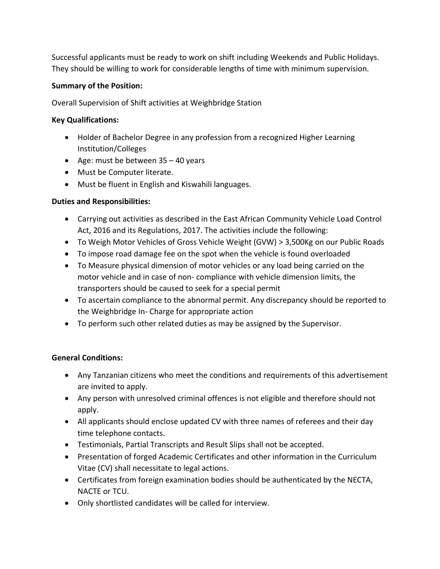Successful applicants must be ready to work on shift including Weekends and Public Holidays. They should be willing to work for considerable lengths of time with minimum supervision.

## **Summary of the Position:**

Overall Supervision of Shift activities at Weighbridge Station

## **Key Qualifications:**

- Holder of Bachelor Degree in any profession from a recognized Higher Learning Institution/Colleges
- Age: must be between 35 40 years
- Must be Computer literate.
- Must be fluent in English and Kiswahili languages.

## **Duties and Responsibilities:**

- Carrying out activities as described in the East African Community Vehicle Load Control Act, 2016 and its Regulations, 2017. The activities include the following:
- To Weigh Motor Vehicles of Gross Vehicle Weight (GVW) > 3,500Kg on our Public Roads
- To impose road damage fee on the spot when the vehicle is found overloaded
- To Measure physical dimension of motor vehicles or any load being carried on the motor vehicle and in case of non- compliance with vehicle dimension limits, the transporters should be caused to seek for a special permit
- To ascertain compliance to the abnormal permit. Any discrepancy should be reported to the Weighbridge In- Charge for appropriate action
- To perform such other related duties as may be assigned by the Supervisor.

## **General Conditions:**

- Any Tanzanian citizens who meet the conditions and requirements of this advertisement are invited to apply.
- Any person with unresolved criminal offences is not eligible and therefore should not apply.
- All applicants should enclose updated CV with three names of referees and their day time telephone contacts.
- Testimonials, Partial Transcripts and Result Slips shall not be accepted.
- Presentation of forged Academic Certificates and other information in the Curriculum Vitae (CV) shall necessitate to legal actions.
- Certificates from foreign examination bodies should be authenticated by the NECTA, NACTE or TCU.
- Only shortlisted candidates will be called for interview.